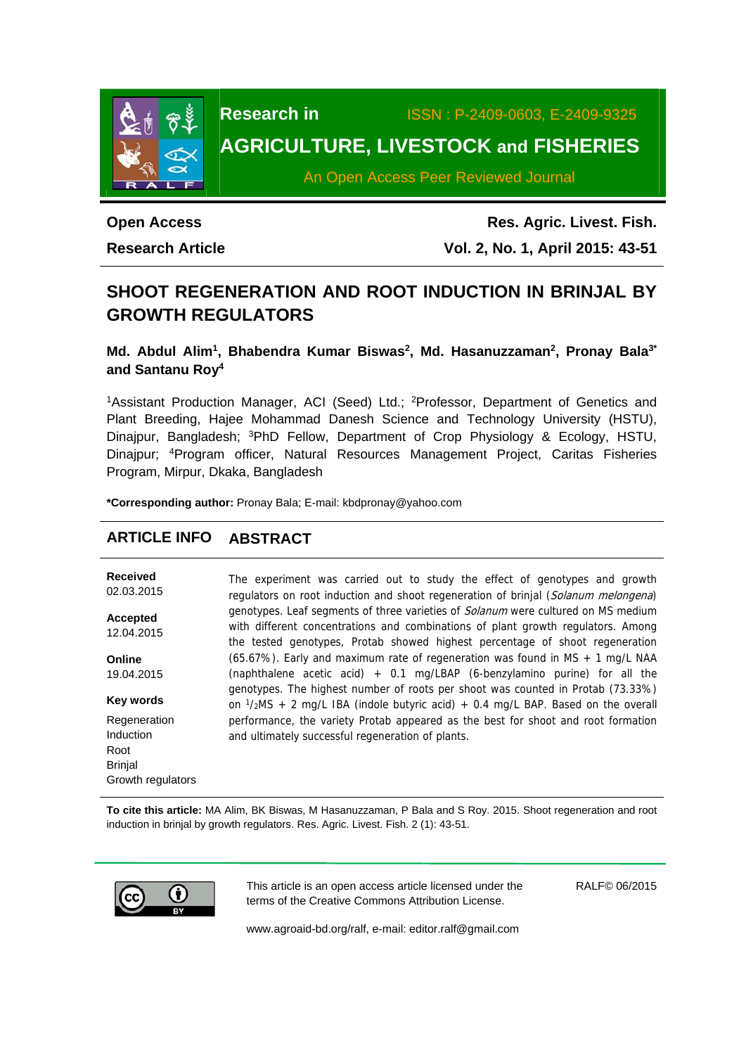

**Research in** ISSN : P-2409-0603, E-2409-9325

# **AGRICULTURE, LIVESTOCK and FISHERIES**

An Open Access Peer Reviewed Journal

# **Open Access**

**Research Article** 

**Res. Agric. Livest. Fish. Vol. 2, No. 1, April 2015: 43-51**

## **SHOOT REGENERATION AND ROOT INDUCTION IN BRINJAL BY GROWTH REGULATORS**

Md. Abdul Alim<sup>1</sup>, Bhabendra Kumar Biswas<sup>2</sup>, Md. Hasanuzzaman<sup>2</sup>, Pronay Bala<sup>3\*</sup> **and Santanu Roy4**

<sup>1</sup>Assistant Production Manager, ACI (Seed) Ltd.; <sup>2</sup>Professor, Department of Genetics and Plant Breeding, Hajee Mohammad Danesh Science and Technology University (HSTU), Dinajpur, Bangladesh; 3PhD Fellow, Department of Crop Physiology & Ecology, HSTU, Dinajpur; 4Program officer, Natural Resources Management Project, Caritas Fisheries Program, Mirpur, Dkaka, Bangladesh

**\*Corresponding author:** Pronay Bala; E-mail: kbdpronay@yahoo.com

## **ARTICLE INFO ABSTRACT**

**Received**  02.03.2015 **Accepted**  12.04.2015 **Online**  19.04.2015 **Key words Regeneration** Induction Root The experiment was carried out to study the effect of genotypes and growth regulators on root induction and shoot regeneration of brinjal (Solanum melongena) genotypes. Leaf segments of three varieties of Solanum were cultured on MS medium with different concentrations and combinations of plant growth regulators. Among the tested genotypes, Protab showed highest percentage of shoot regeneration (65.67%). Early and maximum rate of regeneration was found in MS + 1 mg/L NAA (naphthalene acetic acid)  $+$  0.1 mg/LBAP (6-benzylamino purine) for all the genotypes. The highest number of roots per shoot was counted in Protab (73.33%) on  $1/2MS + 2$  mg/L IBA (indole butyric acid) + 0.4 mg/L BAP. Based on the overall performance, the variety Protab appeared as the best for shoot and root formation and ultimately successful regeneration of plants.

**To cite this article:** MA Alim, BK Biswas, M Hasanuzzaman, P Bala and S Roy. 2015. Shoot regeneration and root induction in brinjal by growth regulators. Res. Agric. Livest. Fish. 2 (1): 43-51.



Brinjal

Growth regulators

This article is an open access article licensed under the terms of the Creative Commons Attribution License.

RALF© 06/2015

www.agroaid-bd.org/ralf, e-mail: editor.ralf@gmail.com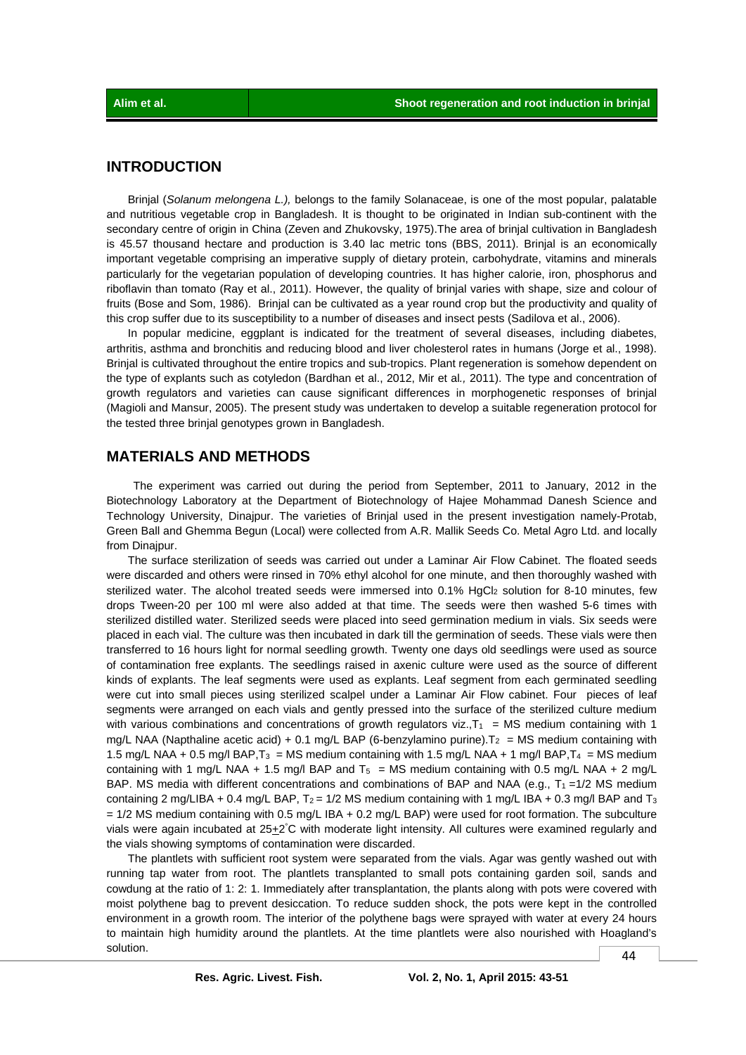## **INTRODUCTION**

 Brinjal (*Solanum melongena L.),* belongs to the family Solanaceae, is one of the most popular, palatable and nutritious vegetable crop in Bangladesh. It is thought to be originated in Indian sub-continent with the secondary centre of origin in China (Zeven and Zhukovsky, 1975).The area of brinjal cultivation in Bangladesh is 45.57 thousand hectare and production is 3.40 lac metric tons (BBS, 2011). Brinjal is an economically important vegetable comprising an imperative supply of dietary protein, carbohydrate, vitamins and minerals particularly for the vegetarian population of developing countries. It has higher calorie, iron, phosphorus and riboflavin than tomato (Ray et al., 2011). However, the quality of brinjal varies with shape, size and colour of fruits (Bose and Som, 1986). Brinjal can be cultivated as a year round crop but the productivity and quality of this crop suffer due to its susceptibility to a number of diseases and insect pests (Sadilova et al., 2006).

 In popular medicine, eggplant is indicated for the treatment of several diseases, including diabetes, arthritis, asthma and bronchitis and reducing blood and liver cholesterol rates in humans (Jorge et al., 1998). Brinjal is cultivated throughout the entire tropics and sub-tropics. Plant regeneration is somehow dependent on the type of explants such as cotyledon (Bardhan et al., 2012, Mir et al*.,* 2011). The type and concentration of growth regulators and varieties can cause significant differences in morphogenetic responses of brinjal (Magioli and Mansur, 2005). The present study was undertaken to develop a suitable regeneration protocol for the tested three brinjal genotypes grown in Bangladesh.

## **MATERIALS AND METHODS**

The experiment was carried out during the period from September, 2011 to January, 2012 in the Biotechnology Laboratory at the Department of Biotechnology of Hajee Mohammad Danesh Science and Technology University, Dinajpur. The varieties of Brinjal used in the present investigation namely-Protab, Green Ball and Ghemma Begun (Local) were collected from A.R. Mallik Seeds Co. Metal Agro Ltd. and locally from Dinaipur.

 The surface sterilization of seeds was carried out under a Laminar Air Flow Cabinet. The floated seeds were discarded and others were rinsed in 70% ethyl alcohol for one minute, and then thoroughly washed with sterilized water. The alcohol treated seeds were immersed into  $0.1\%$  HgCl<sub>2</sub> solution for 8-10 minutes, few drops Tween-20 per 100 ml were also added at that time. The seeds were then washed 5-6 times with sterilized distilled water. Sterilized seeds were placed into seed germination medium in vials. Six seeds were placed in each vial. The culture was then incubated in dark till the germination of seeds. These vials were then transferred to 16 hours light for normal seedling growth. Twenty one days old seedlings were used as source of contamination free explants. The seedlings raised in axenic culture were used as the source of different kinds of explants. The leaf segments were used as explants. Leaf segment from each germinated seedling were cut into small pieces using sterilized scalpel under a Laminar Air Flow cabinet. Four pieces of leaf segments were arranged on each vials and gently pressed into the surface of the sterilized culture medium with various combinations and concentrations of growth regulators viz.,  $T_1$  = MS medium containing with 1 mg/L NAA (Napthaline acetic acid) + 0.1 mg/L BAP (6-benzylamino purine). T<sub>2</sub> = MS medium containing with 1.5 mg/L NAA + 0.5 mg/l BAP,  $T_3$  = MS medium containing with 1.5 mg/L NAA + 1 mg/l BAP,  $T_4$  = MS medium containing with 1 mg/L NAA + 1.5 mg/l BAP and  $T_5$  = MS medium containing with 0.5 mg/L NAA + 2 mg/L BAP. MS media with different concentrations and combinations of BAP and NAA (e.g.,  $T_1 = 1/2$  MS medium containing 2 mg/LIBA + 0.4 mg/L BAP,  $T_2 = 1/2$  MS medium containing with 1 mg/L IBA + 0.3 mg/l BAP and  $T_3$ = 1/2 MS medium containing with 0.5 mg/L IBA + 0.2 mg/L BAP) were used for root formation. The subculture vials were again incubated at 25+2°C with moderate light intensity. All cultures were examined regularly and the vials showing symptoms of contamination were discarded.

 The plantlets with sufficient root system were separated from the vials. Agar was gently washed out with running tap water from root. The plantlets transplanted to small pots containing garden soil, sands and cowdung at the ratio of 1: 2: 1. Immediately after transplantation, the plants along with pots were covered with moist polythene bag to prevent desiccation. To reduce sudden shock, the pots were kept in the controlled environment in a growth room. The interior of the polythene bags were sprayed with water at every 24 hours to maintain high humidity around the plantlets. At the time plantlets were also nourished with Hoagland's solution.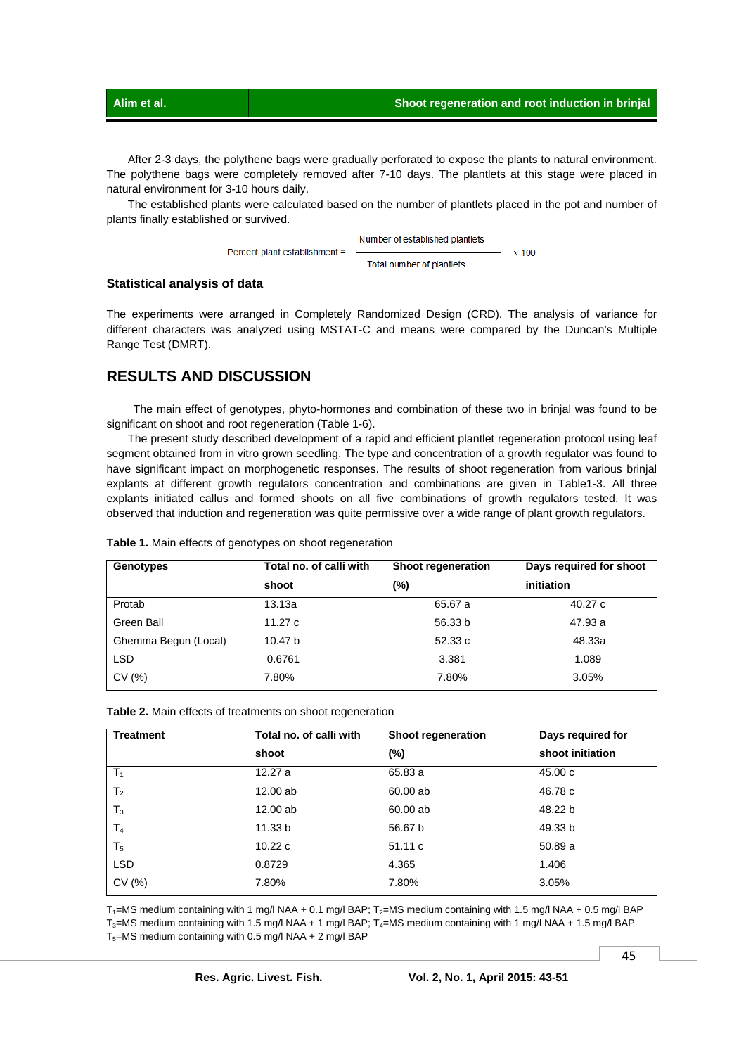After 2-3 days, the polythene bags were gradually perforated to expose the plants to natural environment. The polythene bags were completely removed after 7-10 days. The plantlets at this stage were placed in natural environment for 3-10 hours daily.

The established plants were calculated based on the number of plantlets placed in the pot and number of plants finally established or survived.

> Number of established plantlets Percent plant establishment =  $\times$  100 Total number of plantlets

### **Statistical analysis of data**

The experiments were arranged in Completely Randomized Design (CRD). The analysis of variance for different characters was analyzed using MSTAT-C and means were compared by the Duncan's Multiple Range Test (DMRT).

## **RESULTS AND DISCUSSION**

 The main effect of genotypes, phyto-hormones and combination of these two in brinjal was found to be significant on shoot and root regeneration (Table 1-6).

 The present study described development of a rapid and efficient plantlet regeneration protocol using leaf segment obtained from in vitro grown seedling. The type and concentration of a growth regulator was found to have significant impact on morphogenetic responses. The results of shoot regeneration from various brinjal explants at different growth regulators concentration and combinations are given in Table1-3. All three explants initiated callus and formed shoots on all five combinations of growth regulators tested. It was observed that induction and regeneration was quite permissive over a wide range of plant growth regulators.

| Genotypes            | Total no. of calli with | <b>Shoot regeneration</b> | Days required for shoot |
|----------------------|-------------------------|---------------------------|-------------------------|
|                      | shoot                   | (%)                       | initiation              |
| Protab               | 13.13a                  | 65.67 a                   | 40.27 c                 |
| Green Ball           | 11.27 c                 | 56.33 b                   | 47.93 a                 |
| Ghemma Begun (Local) | 10.47 b                 | 52.33 c                   | 48.33a                  |
| <b>LSD</b>           | 0.6761                  | 3.381                     | 1.089                   |
| CV(%)                | 7.80%                   | 7.80%                     | 3.05%                   |

| Table 1. Main effects of genotypes on shoot regeneration |  |  |  |  |  |
|----------------------------------------------------------|--|--|--|--|--|
|----------------------------------------------------------|--|--|--|--|--|

| Table 2. Main effects of treatments on shoot regeneration |  |  |  |  |  |
|-----------------------------------------------------------|--|--|--|--|--|
|-----------------------------------------------------------|--|--|--|--|--|

| <b>Treatment</b> | Total no. of calli with | Shoot regeneration | Days required for |
|------------------|-------------------------|--------------------|-------------------|
|                  | shoot                   | $(\%)$             | shoot initiation  |
| $T_1$            | 12.27 a                 | 65.83 a            | 45.00 c           |
| T <sub>2</sub>   | 12.00 ab                | 60.00 ab           | 46.78 c           |
| $T_3$            | 12.00 ab                | 60.00 ab           | 48.22 b           |
| T <sub>4</sub>   | 11.33 b                 | 56.67 b            | 49.33 b           |
| T <sub>5</sub>   | 10.22c                  | 51.11c             | 50.89a            |
| <b>LSD</b>       | 0.8729                  | 4.365              | 1.406             |
| CV(%)            | 7.80%                   | 7.80%              | 3.05%             |

 $T_1$ =MS medium containing with 1 mg/l NAA + 0.1 mg/l BAP;  $T_2$ =MS medium containing with 1.5 mg/l NAA + 0.5 mg/l BAP T<sub>3</sub>=MS medium containing with 1.5 mg/l NAA + 1 mg/l BAP; T<sub>4</sub>=MS medium containing with 1 mg/l NAA + 1.5 mg/l BAP T5=MS medium containing with 0.5 mg/l NAA + 2 mg/l BAP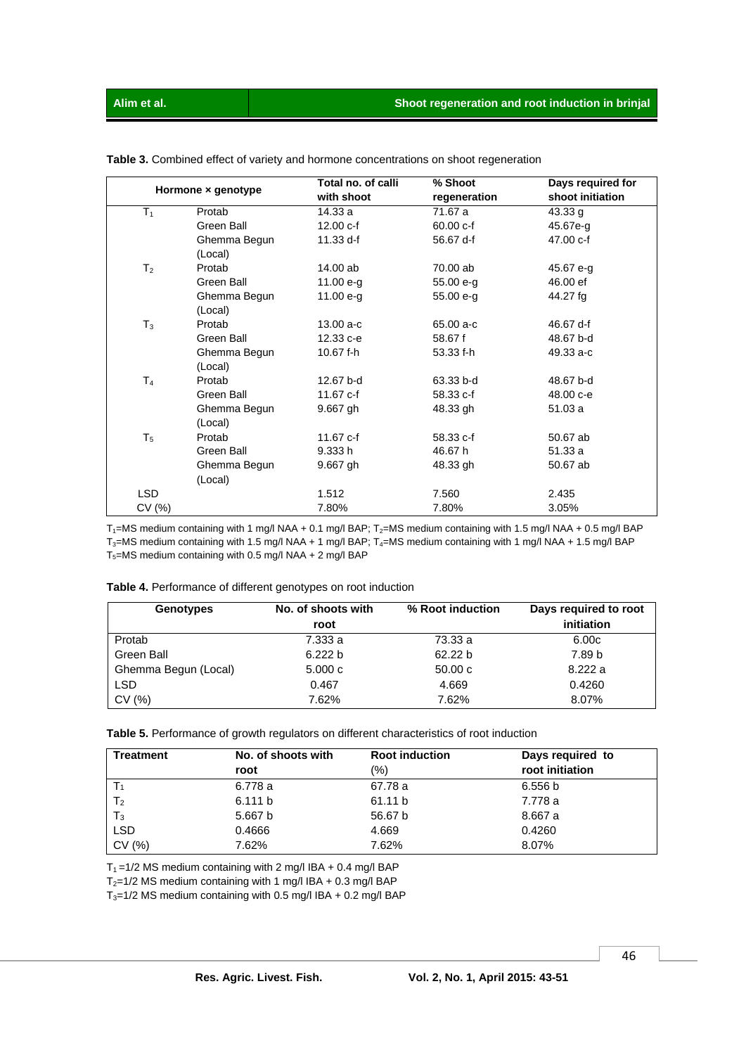|                |                    | Total no. of calli | % Shoot      | Days required for |
|----------------|--------------------|--------------------|--------------|-------------------|
|                | Hormone x genotype | with shoot         | regeneration | shoot initiation  |
| $T_1$          | Protab             | 14.33 a            | 71.67 a      | 43.33 g           |
|                | Green Ball         | 12.00 c-f          | 60.00 c-f    | 45.67e-g          |
|                | Ghemma Begun       | 11.33 d-f          | 56.67 d-f    | 47.00 c-f         |
|                | (Local)            |                    |              |                   |
| T <sub>2</sub> | Protab             | 14.00 ab           | 70.00 ab     | 45.67 e-g         |
|                | Green Ball         | 11.00 $e-g$        | 55.00 e-g    | 46.00 ef          |
|                | Ghemma Begun       | 11.00 $e-g$        | 55.00 e-g    | 44.27 fg          |
|                | (Local)            |                    |              |                   |
| $T_3$          | Protab             | $13.00 a-c$        | 65.00 a-c    | 46.67 d-f         |
|                | Green Ball         | 12.33 c-e          | 58.67 f      | 48.67 b-d         |
|                | Ghemma Begun       | 10.67 f-h          | 53.33 f-h    | 49.33 a-c         |
|                | (Local)            |                    |              |                   |
| T <sub>4</sub> | Protab             | 12.67 b-d          | 63.33 b-d    | 48.67 b-d         |
|                | Green Ball         | 11.67 c-f          | 58.33 c-f    | 48.00 c-e         |
|                | Ghemma Begun       | $9.667$ gh         | 48.33 gh     | 51.03 a           |
|                | (Local)            |                    |              |                   |
| $T_5$          | Protab             | 11.67 c-f          | 58.33 c-f    | 50.67 ab          |
|                | Green Ball         | 9.333 h            | 46.67 h      | 51.33 a           |
|                | Ghemma Begun       | 9.667 gh           | 48.33 gh     | 50.67 ab          |
|                | (Local)            |                    |              |                   |
| <b>LSD</b>     |                    | 1.512              | 7.560        | 2.435             |
| CV(%)          |                    | 7.80%              | 7.80%        | 3.05%             |

 **Table 3.** Combined effect of variety and hormone concentrations on shoot regeneration

 $T_1$ =MS medium containing with 1 mg/l NAA + 0.1 mg/l BAP; T<sub>2</sub>=MS medium containing with 1.5 mg/l NAA + 0.5 mg/l BAP  $T_3$ =MS medium containing with 1.5 mg/l NAA + 1 mg/l BAP;  $T_4$ =MS medium containing with 1 mg/l NAA + 1.5 mg/l BAP  $T_5$ =MS medium containing with 0.5 mg/l NAA + 2 mg/l BAP

| Table 4. Performance of different genotypes on root induction |  |  |  |  |  |
|---------------------------------------------------------------|--|--|--|--|--|
|---------------------------------------------------------------|--|--|--|--|--|

| Genotypes            | No. of shoots with<br>root | % Root induction | Days required to root<br>initiation |
|----------------------|----------------------------|------------------|-------------------------------------|
| Protab               | 7.333 a                    | 73.33 a          | 6.00c                               |
| Green Ball           | 6.222 b                    | 62.22 b          | 7.89 b                              |
| Ghemma Begun (Local) | 5.000c                     | 50.00c           | 8.222a                              |
| <b>LSD</b>           | 0.467                      | 4.669            | 0.4260                              |
| CV(%)                | 7.62%                      | 7.62%            | 8.07%                               |

 **Table 5.** Performance of growth regulators on different characteristics of root induction

| <b>Treatment</b> | No. of shoots with | <b>Root induction</b> | Days required to |
|------------------|--------------------|-----------------------|------------------|
|                  | root               | $\frac{1}{2}$         | root initiation  |
|                  | 6.778 a            | 67.78 a               | 6.556 b          |
| T <sub>2</sub>   | 6.111 b            | 61.11 b               | 7.778 a          |
| $T_3$            | 5.667 b            | 56.67 b               | 8.667 a          |
| <b>LSD</b>       | 0.4666             | 4.669                 | 0.4260           |
| CV(%)            | 7.62%              | 7.62%                 | 8.07%            |

 $T_1 = 1/2$  MS medium containing with 2 mg/l IBA + 0.4 mg/l BAP

 $T_2=1/2$  MS medium containing with 1 mg/l IBA + 0.3 mg/l BAP

 $T_3=1/2$  MS medium containing with 0.5 mg/l IBA + 0.2 mg/l BAP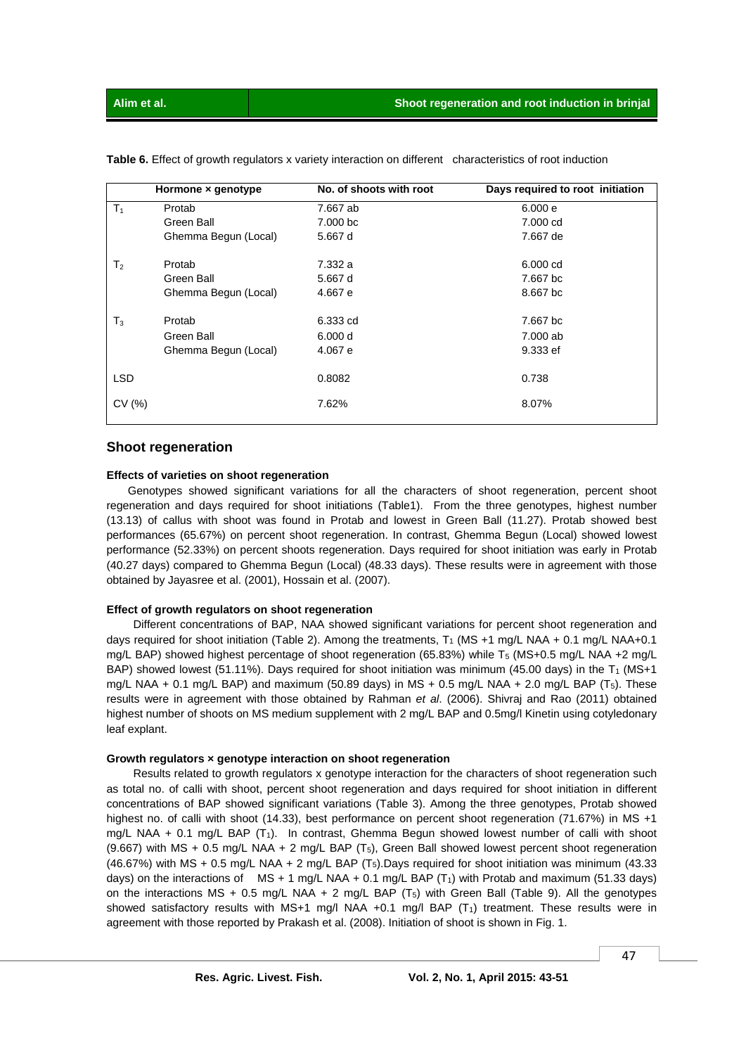|                | Hormone x genotype   | No. of shoots with root | Days required to root initiation |
|----------------|----------------------|-------------------------|----------------------------------|
| $T_1$          | Protab               | 7.667 ab                | 6.000 e                          |
|                | Green Ball           | 7.000 bc                | 7.000 cd                         |
|                | Ghemma Begun (Local) | 5.667 d                 | 7.667 de                         |
| T <sub>2</sub> | Protab               | 7.332 a                 | $6.000 \text{ cd}$               |
|                | Green Ball           | 5.667 d                 | 7.667 bc                         |
|                | Ghemma Begun (Local) | 4.667 e                 | 8.667 bc                         |
| $T_3$          | Protab               | 6.333 cd                | 7.667 bc                         |
|                | Green Ball           | 6,000d                  | 7.000 ab                         |
|                | Ghemma Begun (Local) | 4.067 e                 | 9.333 ef                         |
| <b>LSD</b>     |                      | 0.8082                  | 0.738                            |
| CV(%)          |                      | 7.62%                   | 8.07%                            |

**Table 6.** Effect of growth regulators x variety interaction on different characteristics of root induction

### **Shoot regeneration**

#### **Effects of varieties on shoot regeneration**

 Genotypes showed significant variations for all the characters of shoot regeneration, percent shoot regeneration and days required for shoot initiations (Table1). From the three genotypes, highest number (13.13) of callus with shoot was found in Protab and lowest in Green Ball (11.27). Protab showed best performances (65.67%) on percent shoot regeneration. In contrast, Ghemma Begun (Local) showed lowest performance (52.33%) on percent shoots regeneration. Days required for shoot initiation was early in Protab (40.27 days) compared to Ghemma Begun (Local) (48.33 days). These results were in agreement with those obtained by Jayasree et al. (2001), Hossain et al. (2007).

## **Effect of growth regulators on shoot regeneration**

 Different concentrations of BAP, NAA showed significant variations for percent shoot regeneration and days required for shoot initiation (Table 2). Among the treatments,  $T_1$  (MS +1 mg/L NAA + 0.1 mg/L NAA+0.1 mg/L BAP) showed highest percentage of shoot regeneration (65.83%) while T<sub>5</sub> (MS+0.5 mg/L NAA +2 mg/L BAP) showed lowest (51.11%). Days required for shoot initiation was minimum (45.00 days) in the  $T_1$  (MS+1) mg/L NAA + 0.1 mg/L BAP) and maximum (50.89 days) in MS + 0.5 mg/L NAA + 2.0 mg/L BAP ( $T_5$ ). These results were in agreement with those obtained by Rahman *et al*. (2006). Shivraj and Rao (2011) obtained highest number of shoots on MS medium supplement with 2 mg/L BAP and 0.5mg/l Kinetin using cotyledonary leaf explant.

#### **Growth regulators × genotype interaction on shoot regeneration**

 Results related to growth regulators x genotype interaction for the characters of shoot regeneration such as total no. of calli with shoot, percent shoot regeneration and days required for shoot initiation in different concentrations of BAP showed significant variations (Table 3). Among the three genotypes, Protab showed highest no. of calli with shoot (14.33), best performance on percent shoot regeneration (71.67%) in MS +1 mg/L NAA + 0.1 mg/L BAP (T1). In contrast, Ghemma Begun showed lowest number of calli with shoot (9.667) with MS + 0.5 mg/L NAA + 2 mg/L BAP ( $T_5$ ), Green Ball showed lowest percent shoot regeneration (46.67%) with MS + 0.5 mg/L NAA + 2 mg/L BAP (T5).Days required for shoot initiation was minimum (43.33 days) on the interactions of  $MS + 1$  mg/L NAA + 0.1 mg/L BAP (T<sub>1</sub>) with Protab and maximum (51.33 days) on the interactions MS + 0.5 mg/L NAA + 2 mg/L BAP  $(T_5)$  with Green Ball (Table 9). All the genotypes showed satisfactory results with MS+1 mg/l NAA +0.1 mg/l BAP  $(T_1)$  treatment. These results were in agreement with those reported by Prakash et al. (2008). Initiation of shoot is shown in Fig. 1.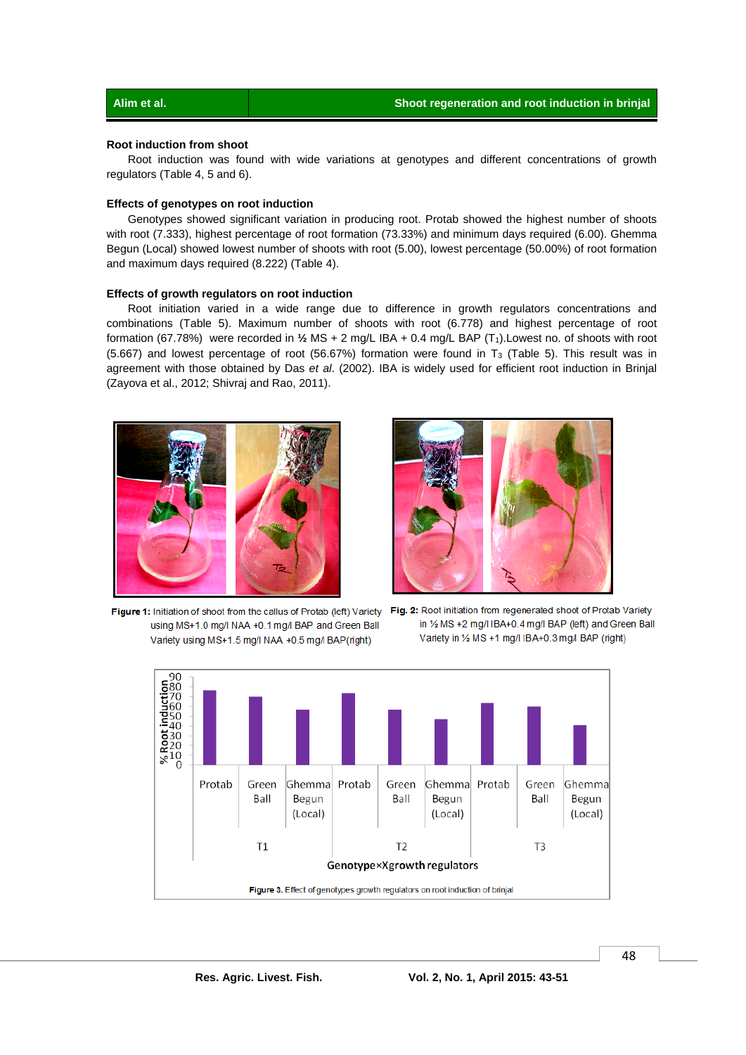### **Root induction from shoot**

 Root induction was found with wide variations at genotypes and different concentrations of growth regulators (Table 4, 5 and 6).

#### **Effects of genotypes on root induction**

 Genotypes showed significant variation in producing root. Protab showed the highest number of shoots with root (7.333), highest percentage of root formation (73.33%) and minimum days required (6.00). Ghemma Begun (Local) showed lowest number of shoots with root (5.00), lowest percentage (50.00%) of root formation and maximum days required (8.222) (Table 4).

#### **Effects of growth regulators on root induction**

 Root initiation varied in a wide range due to difference in growth regulators concentrations and combinations (Table 5). Maximum number of shoots with root (6.778) and highest percentage of root formation (67.78%) were recorded in 1/<sub>2</sub> MS + 2 mg/L IBA + 0.4 mg/L BAP (T<sub>1</sub>).Lowest no. of shoots with root (5.667) and lowest percentage of root (56.67%) formation were found in T3 (Table 5). This result was in agreement with those obtained by Das *et al*. (2002). IBA is widely used for efficient root induction in Brinjal (Zayova et al., 2012; Shivraj and Rao, 2011).





using MS+1.0 mg/l NAA +0.1 mg/l BAP and Green Ball Variety using MS+1.5 mg/l NAA +0.5 mg/l BAP(right)

Figure 1: Initiation of shoot from the callus of Protab (left) Variety Fig. 2: Root initiation from regenerated shoot of Protab Variety in 1/2 MS +2 mg/l IBA+0.4 mg/l BAP (left) and Green Ball Variety in 1/2 MS +1 mg/l IBA+0.3 mg/l BAP (right)

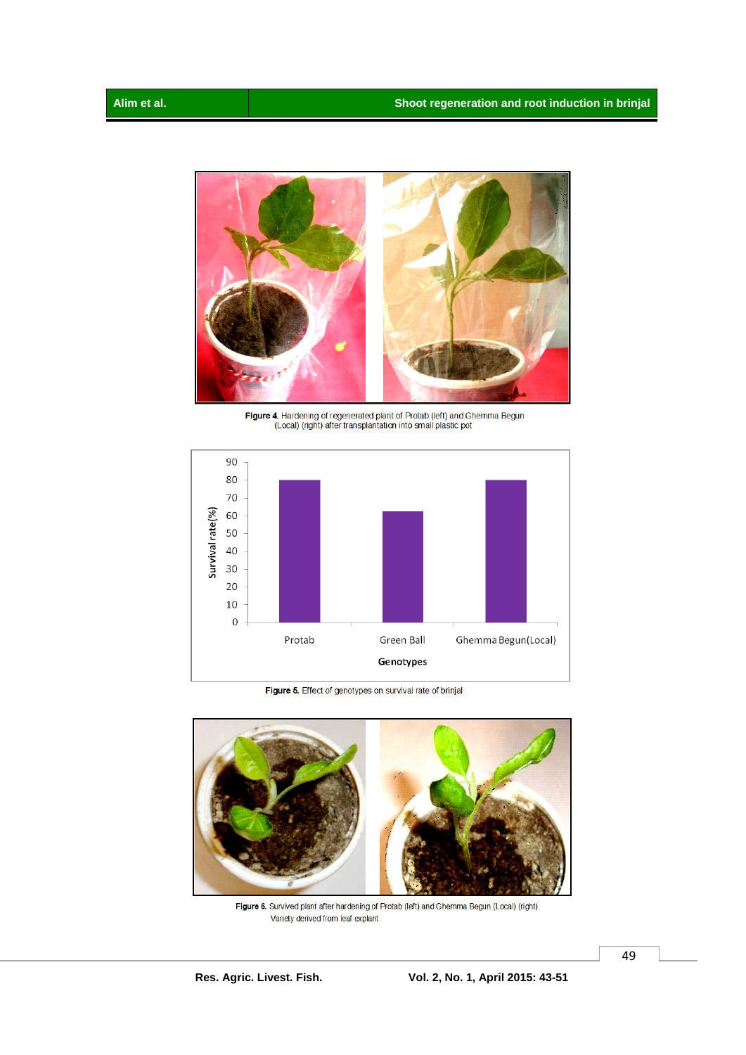![](_page_6_Picture_2.jpeg)

Figure 4. Hardening of regenerated plant of Protab (left) and Ghemma Begun (Local) (right) after transplantation into small plastic pot

![](_page_6_Figure_4.jpeg)

Figure 5. Effect of genotypes on survival rate of brinjal

![](_page_6_Picture_6.jpeg)

Figure 6. Survived plant after hardening of Protab (left) and Ghemma Begun (Local) (right) Variety derived from leaf explant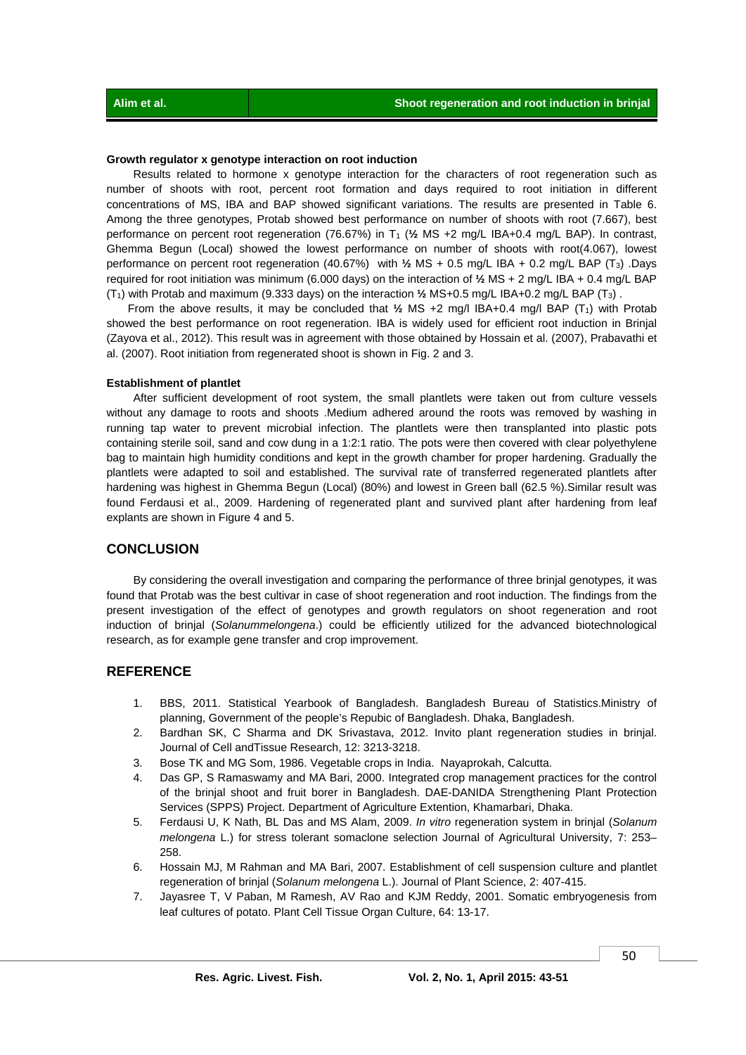#### **Growth regulator x genotype interaction on root induction**

 Results related to hormone x genotype interaction for the characters of root regeneration such as number of shoots with root, percent root formation and days required to root initiation in different concentrations of MS, IBA and BAP showed significant variations. The results are presented in Table 6. Among the three genotypes, Protab showed best performance on number of shoots with root (7.667), best performance on percent root regeneration (76.67%) in T<sub>1</sub> ( $\frac{1}{2}$  MS +2 mg/L IBA+0.4 mg/L BAP). In contrast, Ghemma Begun (Local) showed the lowest performance on number of shoots with root(4.067), lowest performance on percent root regeneration (40.67%) with **½** MS + 0.5 mg/L IBA + 0.2 mg/L BAP (T3) .Days required for root initiation was minimum (6.000 days) on the interaction of **½** MS + 2 mg/L IBA + 0.4 mg/L BAP (T1) with Protab and maximum (9.333 days) on the interaction **½** MS+0.5 mg/L IBA+0.2 mg/L BAP (T3) .

From the above results, it may be concluded that  $\frac{1}{2}$  MS +2 mg/l IBA+0.4 mg/l BAP (T<sub>1</sub>) with Protab showed the best performance on root regeneration. IBA is widely used for efficient root induction in Brinjal (Zayova et al., 2012). This result was in agreement with those obtained by Hossain et al. (2007), Prabavathi et al. (2007). Root initiation from regenerated shoot is shown in Fig. 2 and 3.

#### **Establishment of plantlet**

 After sufficient development of root system, the small plantlets were taken out from culture vessels without any damage to roots and shoots .Medium adhered around the roots was removed by washing in running tap water to prevent microbial infection. The plantlets were then transplanted into plastic pots containing sterile soil, sand and cow dung in a 1:2:1 ratio. The pots were then covered with clear polyethylene bag to maintain high humidity conditions and kept in the growth chamber for proper hardening. Gradually the plantlets were adapted to soil and established. The survival rate of transferred regenerated plantlets after hardening was highest in Ghemma Begun (Local) (80%) and lowest in Green ball (62.5 %). Similar result was found Ferdausi et al., 2009. Hardening of regenerated plant and survived plant after hardening from leaf explants are shown in Figure 4 and 5.

## **CONCLUSION**

 By considering the overall investigation and comparing the performance of three brinjal genotypes*,* it was found that Protab was the best cultivar in case of shoot regeneration and root induction. The findings from the present investigation of the effect of genotypes and growth regulators on shoot regeneration and root induction of brinjal (*Solanummelongena*.) could be efficiently utilized for the advanced biotechnological research, as for example gene transfer and crop improvement.

## **REFERENCE**

- 1. BBS, 2011. Statistical Yearbook of Bangladesh. Bangladesh Bureau of Statistics.Ministry of planning, Government of the people's Repubic of Bangladesh. Dhaka, Bangladesh.
- 2. Bardhan SK, C Sharma and DK Srivastava, 2012. Invito plant regeneration studies in brinjal. Journal of Cell andTissue Research, 12: 3213-3218.
- 3. Bose TK and MG Som, 1986. Vegetable crops in India. Nayaprokah, Calcutta.
- 4. Das GP, S Ramaswamy and MA Bari, 2000. Integrated crop management practices for the control of the brinjal shoot and fruit borer in Bangladesh. DAE-DANIDA Strengthening Plant Protection Services (SPPS) Project. Department of Agriculture Extention, Khamarbari, Dhaka.
- 5. Ferdausi U, K Nath, BL Das and MS Alam, 2009. *In vitro* regeneration system in brinjal (*Solanum melongena* L.) for stress tolerant somaclone selection Journal of Agricultural University, 7: 253– 258.
- 6. Hossain MJ, M Rahman and MA Bari, 2007. Establishment of cell suspension culture and plantlet regeneration of brinjal (*Solanum melongena* L.). Journal of Plant Science, 2: 407-415.
- 7. Jayasree T, V Paban, M Ramesh, AV Rao and KJM Reddy, 2001. Somatic embryogenesis from leaf cultures of potato. Plant Cell Tissue Organ Culture, 64: 13-17.